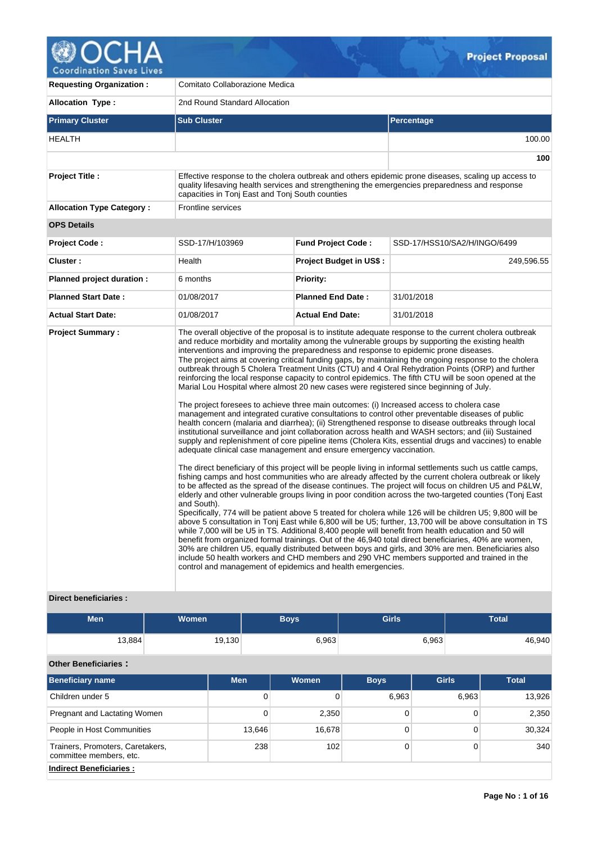

**Requesting Organization :** Comitato Collaborazione Medica Allocation Type : 2nd Round Standard Allocation **Primary Cluster Sub Cluster Sub Cluster** Sub Cluster Sub Cluster Sub Cluster Sub Cluster Sub Cluster Sub Cluster HEALTH 100.00 **100 Project Title :** Effective response to the cholera outbreak and others epidemic prone diseases, scaling up access to quality lifesaving health services and strengthening the emergencies preparedness and response capacities in Tonj East and Tonj South counties **Allocation Type Category :** Frontline services **OPS Details Project Code :** SSD-17/H/103969 **Fund Project Code :** SSD-17/HSS10/SA2/H/INGO/6499 **Cluster :** 249,596.55 **| Health | Project Budget in US\$ :** 249,596.55 **Planned project duration :** 6 months **Planned Priority: Planned Start Date :** 01/08/2017 **Planned End Date :** 31/01/2018 **Actual Start Date:** 01/08/2017 **Actual End Date:** 31/01/2018 **Project Summary :** The overall objective of the proposal is to institute adequate response to the current cholera outbreak and reduce morbidity and mortality among the vulnerable groups by supporting the existing health interventions and improving the preparedness and response to epidemic prone diseases. The project aims at covering critical funding gaps, by maintaining the ongoing response to the cholera outbreak through 5 Cholera Treatment Units (CTU) and 4 Oral Rehydration Points (ORP) and further reinforcing the local response capacity to control epidemics. The fifth CTU will be soon opened at the Marial Lou Hospital where almost 20 new cases were registered since beginning of July. The project foresees to achieve three main outcomes: (i) Increased access to cholera case management and integrated curative consultations to control other preventable diseases of public health concern (malaria and diarrhea); (ii) Strengthened response to disease outbreaks through local institutional surveillance and joint collaboration across health and WASH sectors; and (iii) Sustained supply and replenishment of core pipeline items (Cholera Kits, essential drugs and vaccines) to enable adequate clinical case management and ensure emergency vaccination. The direct beneficiary of this project will be people living in informal settlements such us cattle camps, fishing camps and host communities who are already affected by the current cholera outbreak or likely to be affected as the spread of the disease continues. The project will focus on children U5 and P&LW, elderly and other vulnerable groups living in poor condition across the two-targeted counties (Tonj East and South). Specifically, 774 will be patient above 5 treated for cholera while 126 will be children U5; 9,800 will be above 5 consultation in Tonj East while 6,800 will be U5; further, 13,700 will be above consultation in TS while 7,000 will be U5 in TS. Additional 8,400 people will benefit from health education and 50 will benefit from organized formal trainings. Out of the 46,940 total direct beneficiaries, 40% are women, 30% are children U5, equally distributed between boys and girls, and 30% are men. Beneficiaries also include 50 health workers and CHD members and 290 VHC members supported and trained in the control and management of epidemics and health emergencies.

## **Direct beneficiaries :**

| <b>Men</b> | <b>Women</b> | Boys' | <b>Girls</b> | <b>Total</b> |
|------------|--------------|-------|--------------|--------------|
| 13,884     | 19,130       | 6,963 | 6,963        | 46,940       |

# **Other Beneficiaries :**

| <b>Beneficiary name</b>                                     | <b>Men</b> | <b>Women</b> | <b>Boys</b> | <b>Girls</b> | <b>Total</b> |  |  |  |
|-------------------------------------------------------------|------------|--------------|-------------|--------------|--------------|--|--|--|
| Children under 5                                            | 0          |              | 6,963       | 6.963        | 13,926       |  |  |  |
| Pregnant and Lactating Women                                | 0          | 2,350        |             | 0            | 2,350        |  |  |  |
| People in Host Communities                                  | 13,646     | 16,678       |             | 0            | 30,324       |  |  |  |
| Trainers, Promoters, Caretakers,<br>committee members, etc. | 238        | 102          |             | 0            | 340          |  |  |  |
| <b>Indirect Beneficiaries:</b>                              |            |              |             |              |              |  |  |  |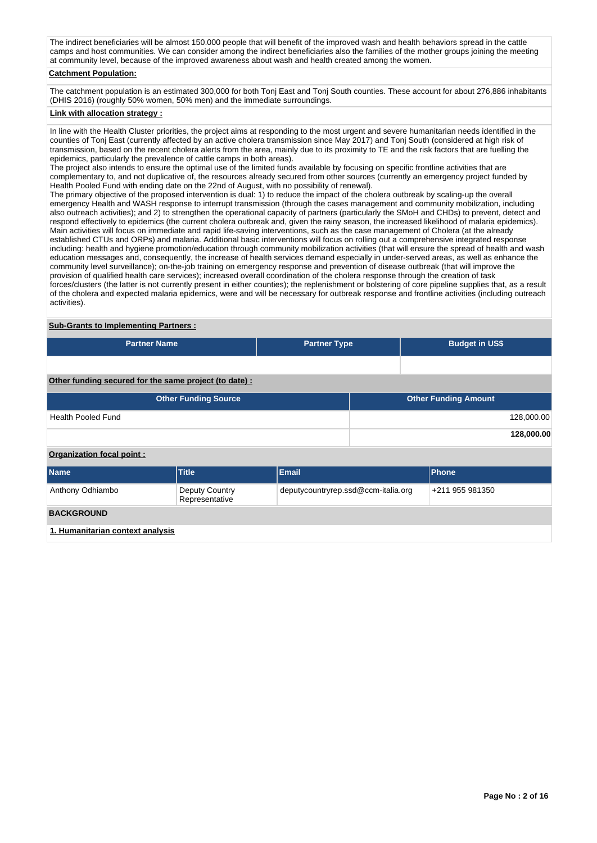The indirect beneficiaries will be almost 150.000 people that will benefit of the improved wash and health behaviors spread in the cattle camps and host communities. We can consider among the indirect beneficiaries also the families of the mother groups joining the meeting at community level, because of the improved awareness about wash and health created among the women.

# **Catchment Population:**

The catchment population is an estimated 300,000 for both Tonj East and Tonj South counties. These account for about 276,886 inhabitants (DHIS 2016) (roughly 50% women, 50% men) and the immediate surroundings.

# **Link with allocation strategy :**

In line with the Health Cluster priorities, the project aims at responding to the most urgent and severe humanitarian needs identified in the counties of Tonj East (currently affected by an active cholera transmission since May 2017) and Tonj South (considered at high risk of transmission, based on the recent cholera alerts from the area, mainly due to its proximity to TE and the risk factors that are fuelling the epidemics, particularly the prevalence of cattle camps in both areas).

The project also intends to ensure the optimal use of the limited funds available by focusing on specific frontline activities that are complementary to, and not duplicative of, the resources already secured from other sources (currently an emergency project funded by Health Pooled Fund with ending date on the 22nd of August, with no possibility of renewal).

The primary objective of the proposed intervention is dual: 1) to reduce the impact of the cholera outbreak by scaling-up the overall emergency Health and WASH response to interrupt transmission (through the cases management and community mobilization, including also outreach activities); and 2) to strengthen the operational capacity of partners (particularly the SMoH and CHDs) to prevent, detect and respond effectively to epidemics (the current cholera outbreak and, given the rainy season, the increased likelihood of malaria epidemics). Main activities will focus on immediate and rapid life-saving interventions, such as the case management of Cholera (at the already established CTUs and ORPs) and malaria. Additional basic interventions will focus on rolling out a comprehensive integrated response including: health and hygiene promotion/education through community mobilization activities (that will ensure the spread of health and wash education messages and, consequently, the increase of health services demand especially in under-served areas, as well as enhance the community level surveillance); on-the-job training on emergency response and prevention of disease outbreak (that will improve the provision of qualified health care services); increased overall coordination of the cholera response through the creation of task forces/clusters (the latter is not currently present in either counties); the replenishment or bolstering of core pipeline supplies that, as a result of the cholera and expected malaria epidemics, were and will be necessary for outbreak response and frontline activities (including outreach activities).

# **Sub-Grants to Implementing Partners :**

| <b>Partner Name</b>                                   | <b>Partner Type</b> | <b>Budget in US\$</b>       |            |  |  |  |
|-------------------------------------------------------|---------------------|-----------------------------|------------|--|--|--|
|                                                       |                     |                             |            |  |  |  |
|                                                       |                     |                             |            |  |  |  |
|                                                       |                     |                             |            |  |  |  |
| Other funding secured for the same project (to date): |                     |                             |            |  |  |  |
| <b>Other Funding Source</b>                           |                     | <b>Other Funding Amount</b> |            |  |  |  |
| <b>Health Pooled Fund</b>                             |                     |                             | 128,000.00 |  |  |  |
|                                                       |                     |                             | 128,000.00 |  |  |  |

### **Organization focal point :**

| <b>Name</b>                      | <b>Title</b>                     | Email                               | Phone           |  |  |  |  |  |  |
|----------------------------------|----------------------------------|-------------------------------------|-----------------|--|--|--|--|--|--|
| Anthony Odhiambo                 | Deputy Country<br>Representative | deputycountryrep.ssd@ccm-italia.org | +211 955 981350 |  |  |  |  |  |  |
| <b>BACKGROUND</b>                |                                  |                                     |                 |  |  |  |  |  |  |
| 1. Humanitarian context analysis |                                  |                                     |                 |  |  |  |  |  |  |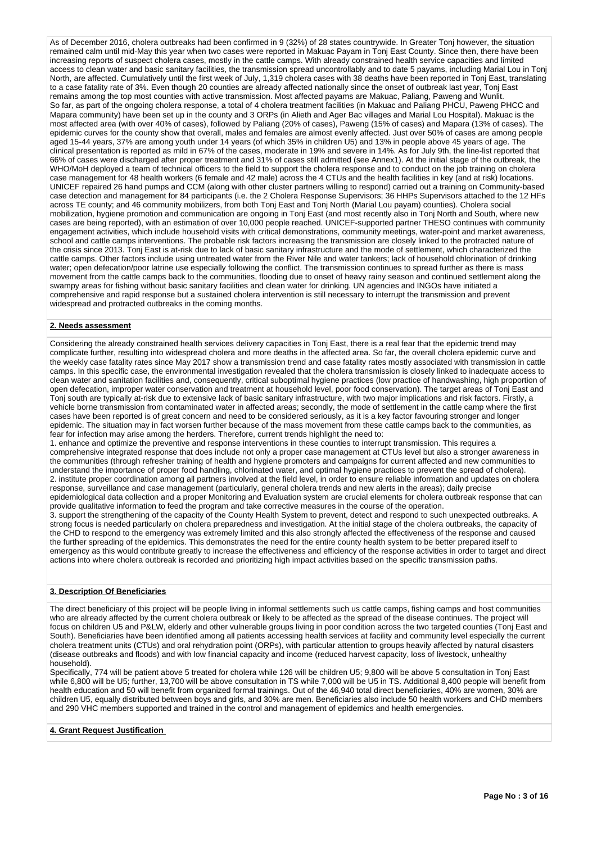As of December 2016, cholera outbreaks had been confirmed in 9 (32%) of 28 states countrywide. In Greater Tonj however, the situation remained calm until mid-May this year when two cases were reported in Makuac Payam in Tonj East County. Since then, there have been increasing reports of suspect cholera cases, mostly in the cattle camps. With already constrained health service capacities and limited access to clean water and basic sanitary facilities, the transmission spread uncontrollably and to date 5 payams, including Marial Lou in Tonj North, are affected. Cumulatively until the first week of July, 1,319 cholera cases with 38 deaths have been reported in Tonj East, translating to a case fatality rate of 3%. Even though 20 counties are already affected nationally since the onset of outbreak last year, Tonj East remains among the top most counties with active transmission. Most affected payams are Makuac, Paliang, Paweng and Wunlit. So far, as part of the ongoing cholera response, a total of 4 cholera treatment facilities (in Makuac and Paliang PHCU, Paweng PHCC and Mapara community) have been set up in the county and 3 ORPs (in Alieth and Ager Bac villages and Marial Lou Hospital). Makuac is the most affected area (with over 40% of cases), followed by Paliang (20% of cases), Paweng (15% of cases) and Mapara (13% of cases). The epidemic curves for the county show that overall, males and females are almost evenly affected. Just over 50% of cases are among people aged 15-44 years, 37% are among youth under 14 years (of which 35% in children U5) and 13% in people above 45 years of age. The clinical presentation is reported as mild in 67% of the cases, moderate in 19% and severe in 14%. As for July 9th, the line-list reported that 66% of cases were discharged after proper treatment and 31% of cases still admitted (see Annex1). At the initial stage of the outbreak, the WHO/MoH deployed a team of technical officers to the field to support the cholera response and to conduct on the job training on cholera case management for 48 health workers (6 female and 42 male) across the 4 CTUs and the health facilities in key (and at risk) locations. UNICEF repaired 26 hand pumps and CCM (along with other cluster partners willing to respond) carried out a training on Community-based case detection and management for 84 participants (i.e. the 2 Cholera Response Supervisors; 36 HHPs Supervisors attached to the 12 HFs across TE county; and 46 community mobilizers, from both Tonj East and Tonj North (Marial Lou payam) counties). Cholera social mobilization, hygiene promotion and communication are ongoing in Tonj East (and most recently also in Tonj North and South, where new cases are being reported), with an estimation of over 10,000 people reached. UNICEF-supported partner THESO continues with community engagement activities, which include household visits with critical demonstrations, community meetings, water-point and market awareness, school and cattle camps interventions. The probable risk factors increasing the transmission are closely linked to the protracted nature of the crisis since 2013. Tonj East is at-risk due to lack of basic sanitary infrastructure and the mode of settlement, which characterized the cattle camps. Other factors include using untreated water from the River Nile and water tankers; lack of household chlorination of drinking water; open defecation/poor latrine use especially following the conflict. The transmission continues to spread further as there is mass movement from the cattle camps back to the communities, flooding due to onset of heavy rainy season and continued settlement along the swampy areas for fishing without basic sanitary facilities and clean water for drinking. UN agencies and INGOs have initiated a comprehensive and rapid response but a sustained cholera intervention is still necessary to interrupt the transmission and prevent widespread and protracted outbreaks in the coming months.

### **2. Needs assessment**

Considering the already constrained health services delivery capacities in Tonj East, there is a real fear that the epidemic trend may complicate further, resulting into widespread cholera and more deaths in the affected area. So far, the overall cholera epidemic curve and the weekly case fatality rates since May 2017 show a transmission trend and case fatality rates mostly associated with transmission in cattle camps. In this specific case, the environmental investigation revealed that the cholera transmission is closely linked to inadequate access to clean water and sanitation facilities and, consequently, critical suboptimal hygiene practices (low practice of handwashing, high proportion of open defecation, improper water conservation and treatment at household level, poor food conservation). The target areas of Tonj East and Tonj south are typically at-risk due to extensive lack of basic sanitary infrastructure, with two major implications and risk factors. Firstly, a vehicle borne transmission from contaminated water in affected areas; secondly, the mode of settlement in the cattle camp where the first cases have been reported is of great concern and need to be considered seriously, as it is a key factor favouring stronger and longer epidemic. The situation may in fact worsen further because of the mass movement from these cattle camps back to the communities, as fear for infection may arise among the herders. Therefore, current trends highlight the need to:

1. enhance and optimize the preventive and response interventions in these counties to interrupt transmission. This requires a comprehensive integrated response that does include not only a proper case management at CTUs level but also a stronger awareness in the communities (through refresher training of health and hygiene promoters and campaigns for current affected and new communities to understand the importance of proper food handling, chlorinated water, and optimal hygiene practices to prevent the spread of cholera). 2. institute proper coordination among all partners involved at the field level, in order to ensure reliable information and updates on cholera response, surveillance and case management (particularly, general cholera trends and new alerts in the areas); daily precise epidemiological data collection and a proper Monitoring and Evaluation system are crucial elements for cholera outbreak response that can provide qualitative information to feed the program and take corrective measures in the course of the operation.

3. support the strengthening of the capacity of the County Health System to prevent, detect and respond to such unexpected outbreaks. A strong focus is needed particularly on cholera preparedness and investigation. At the initial stage of the cholera outbreaks, the capacity of the CHD to respond to the emergency was extremely limited and this also strongly affected the effectiveness of the response and caused the further spreading of the epidemics. This demonstrates the need for the entire county health system to be better prepared itself to emergency as this would contribute greatly to increase the effectiveness and efficiency of the response activities in order to target and direct actions into where cholera outbreak is recorded and prioritizing high impact activities based on the specific transmission paths.

## **3. Description Of Beneficiaries**

The direct beneficiary of this project will be people living in informal settlements such us cattle camps, fishing camps and host communities who are already affected by the current cholera outbreak or likely to be affected as the spread of the disease continues. The project will focus on children U5 and P&LW, elderly and other vulnerable groups living in poor condition across the two targeted counties (Tonj East and South). Beneficiaries have been identified among all patients accessing health services at facility and community level especially the current cholera treatment units (CTUs) and oral rehydration point (ORPs), with particular attention to groups heavily affected by natural disasters (disease outbreaks and floods) and with low financial capacity and income (reduced harvest capacity, loss of livestock, unhealthy household).

Specifically, 774 will be patient above 5 treated for cholera while 126 will be children U5; 9,800 will be above 5 consultation in Tonj East while 6,800 will be U5; further, 13,700 will be above consultation in TS while 7,000 will be U5 in TS. Additional 8,400 people will benefit from health education and 50 will benefit from organized formal trainings. Out of the 46,940 total direct beneficiaries, 40% are women, 30% are children U5, equally distributed between boys and girls, and 30% are men. Beneficiaries also include 50 health workers and CHD members and 290 VHC members supported and trained in the control and management of epidemics and health emergencies.

## **4. Grant Request Justification**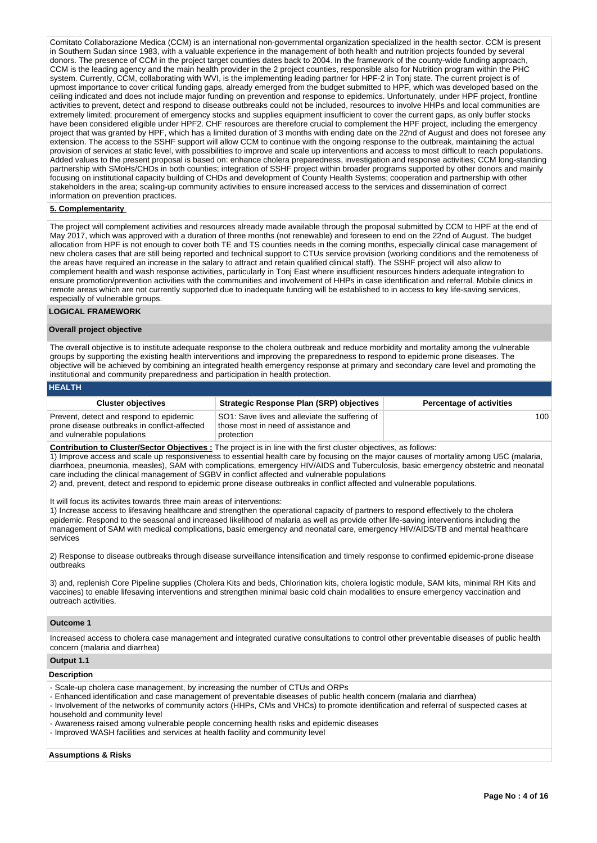Comitato Collaborazione Medica (CCM) is an international non-governmental organization specialized in the health sector. CCM is present in Southern Sudan since 1983, with a valuable experience in the management of both health and nutrition projects founded by several donors. The presence of CCM in the project target counties dates back to 2004. In the framework of the county-wide funding approach, CCM is the leading agency and the main health provider in the 2 project counties, responsible also for Nutrition program within the PHC system. Currently, CCM, collaborating with WVI, is the implementing leading partner for HPF-2 in Tonj state. The current project is of upmost importance to cover critical funding gaps, already emerged from the budget submitted to HPF, which was developed based on the ceiling indicated and does not include major funding on prevention and response to epidemics. Unfortunately, under HPF project, frontline activities to prevent, detect and respond to disease outbreaks could not be included, resources to involve HHPs and local communities are extremely limited; procurement of emergency stocks and supplies equipment insufficient to cover the current gaps, as only buffer stocks have been considered eligible under HPF2. CHF resources are therefore crucial to complement the HPF project, including the emergency project that was granted by HPF, which has a limited duration of 3 months with ending date on the 22nd of August and does not foresee any extension. The access to the SSHF support will allow CCM to continue with the ongoing response to the outbreak, maintaining the actual provision of services at static level, with possibilities to improve and scale up interventions and access to most difficult to reach populations. Added values to the present proposal is based on: enhance cholera preparedness, investigation and response activities; CCM long-standing partnership with SMoHs/CHDs in both counties; integration of SSHF project within broader programs supported by other donors and mainly focusing on institutional capacity building of CHDs and development of County Health Systems; cooperation and partnership with other stakeholders in the area; scaling-up community activities to ensure increased access to the services and dissemination of correct information on prevention practices.

# **5. Complementarity**

The project will complement activities and resources already made available through the proposal submitted by CCM to HPF at the end of May 2017, which was approved with a duration of three months (not renewable) and foreseen to end on the 22nd of August. The budget allocation from HPF is not enough to cover both TE and TS counties needs in the coming months, especially clinical case management of new cholera cases that are still being reported and technical support to CTUs service provision (working conditions and the remoteness of the areas have required an increase in the salary to attract and retain qualified clinical staff). The SSHF project will also allow to complement health and wash response activities, particularly in Tonj East where insufficient resources hinders adequate integration to ensure promotion/prevention activities with the communities and involvement of HHPs in case identification and referral. Mobile clinics in remote areas which are not currently supported due to inadequate funding will be established to in access to key life-saving services, especially of vulnerable groups.

## **LOGICAL FRAMEWORK**

### **Overall project objective**

The overall objective is to institute adequate response to the cholera outbreak and reduce morbidity and mortality among the vulnerable groups by supporting the existing health interventions and improving the preparedness to respond to epidemic prone diseases. The objective will be achieved by combining an integrated health emergency response at primary and secondary care level and promoting the institutional and community preparedness and participation in health protection.

| <b>HEALTH</b> |  |  |  |
|---------------|--|--|--|
|               |  |  |  |
|               |  |  |  |
|               |  |  |  |

| <b>Cluster objectives</b>                                                                                             | Strategic Response Plan (SRP) objectives                                                             | <b>Percentage of activities</b> |
|-----------------------------------------------------------------------------------------------------------------------|------------------------------------------------------------------------------------------------------|---------------------------------|
| Prevent, detect and respond to epidemic<br>prone disease outbreaks in conflict-affected<br>and vulnerable populations | SO1: Save lives and alleviate the suffering of<br>those most in need of assistance and<br>protection | 100 <sup>1</sup>                |

**Contribution to Cluster/Sector Objectives :** The project is in line with the first cluster objectives, as follows:

1) Improve access and scale up responsiveness to essential health care by focusing on the major causes of mortality among U5C (malaria, diarrhoea, pneumonia, measles), SAM with complications, emergency HIV/AIDS and Tuberculosis, basic emergency obstetric and neonatal care including the clinical management of SGBV in conflict affected and vulnerable populations

2) and, prevent, detect and respond to epidemic prone disease outbreaks in conflict affected and vulnerable populations.

It will focus its activites towards three main areas of interventions:

1) Increase access to lifesaving healthcare and strengthen the operational capacity of partners to respond effectively to the cholera epidemic. Respond to the seasonal and increased likelihood of malaria as well as provide other life-saving interventions including the management of SAM with medical complications, basic emergency and neonatal care, emergency HIV/AIDS/TB and mental healthcare services

2) Response to disease outbreaks through disease surveillance intensification and timely response to confirmed epidemic-prone disease outbreaks

3) and, replenish Core Pipeline supplies (Cholera Kits and beds, Chlorination kits, cholera logistic module, SAM kits, minimal RH Kits and vaccines) to enable lifesaving interventions and strengthen minimal basic cold chain modalities to ensure emergency vaccination and outreach activities.

#### **Outcome 1**

Increased access to cholera case management and integrated curative consultations to control other preventable diseases of public health concern (malaria and diarrhea)

# **Output 1.1**

### **Description**

- Scale-up cholera case management, by increasing the number of CTUs and ORPs
- Enhanced identification and case management of preventable diseases of public health concern (malaria and diarrhea)
- Involvement of the networks of community actors (HHPs, CMs and VHCs) to promote identification and referral of suspected cases at household and community level
- Awareness raised among vulnerable people concerning health risks and epidemic diseases
- Improved WASH facilities and services at health facility and community level

#### **Assumptions & Risks**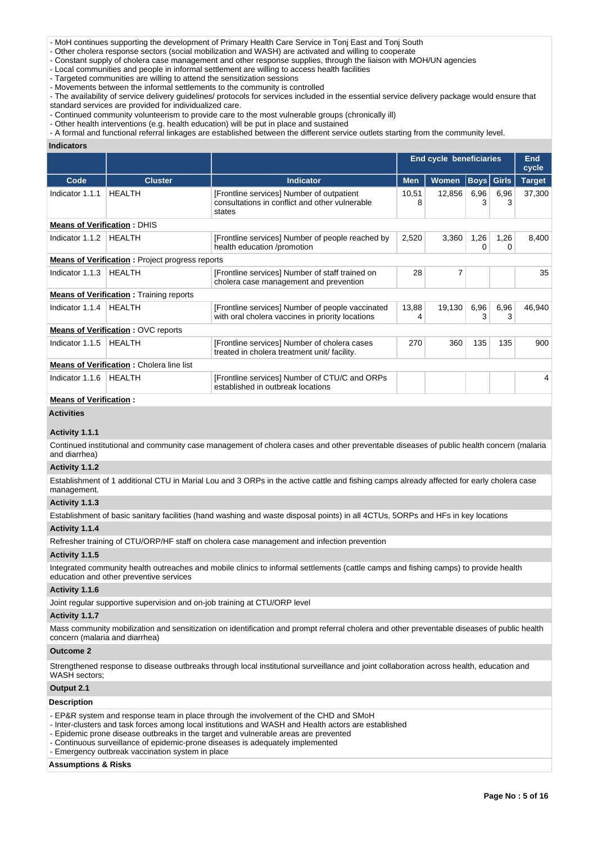- MoH continues supporting the development of Primary Health Care Service in Tonj East and Tonj South

- Other cholera response sectors (social mobilization and WASH) are activated and willing to cooperate

- Constant supply of cholera case management and other response supplies, through the liaison with MOH/UN agencies
- Local communities and people in informal settlement are willing to access health facilities

- Targeted communities are willing to attend the sensitization sessions

- Movements between the informal settlements to the community is controlled
- The availability of service delivery guidelines/ protocols for services included in the essential service delivery package would ensure that standard services are provided for individualized care.
- Continued community volunteerism to provide care to the most vulnerable groups (chronically ill)
- Other health interventions (e.g. health education) will be put in place and sustained
- A formal and functional referral linkages are established between the different service outlets starting from the community level.

#### **Indicators**

|                                                        |                                                 |                                                                                                       |            | <b>End cycle beneficiaries</b> |           |                   | <b>End</b><br>cycle |
|--------------------------------------------------------|-------------------------------------------------|-------------------------------------------------------------------------------------------------------|------------|--------------------------------|-----------|-------------------|---------------------|
| Code                                                   | <b>Cluster</b>                                  | <b>Indicator</b>                                                                                      | <b>Men</b> | Women                          |           | <b>Boys</b> Girls | <b>Target</b>       |
| Indicator 1.1.1                                        | <b>HEALTH</b>                                   | [Frontline services] Number of outpatient<br>consultations in conflict and other vulnerable<br>states | 10,51<br>8 | 12,856                         | 6,96<br>3 | 6,96<br>3         | 37,300              |
| <b>Means of Verification: DHIS</b>                     |                                                 |                                                                                                       |            |                                |           |                   |                     |
| Indicator 1.1.2                                        | <b>HFAITH</b>                                   | [Frontline services] Number of people reached by<br>health education /promotion                       | 2,520      | 3,360                          | 1,26<br>∩ | 1,26<br>0         | 8,400               |
| <b>Means of Verification:</b> Project progress reports |                                                 |                                                                                                       |            |                                |           |                   |                     |
| Indicator 1.1.3                                        | <b>HEALTH</b>                                   | [Frontline services] Number of staff trained on<br>cholera case management and prevention             | 28         | 7                              |           |                   | 35                  |
|                                                        | <b>Means of Verification:</b> Training reports  |                                                                                                       |            |                                |           |                   |                     |
| Indicator 1.1.4                                        | <b>HFAITH</b>                                   | [Frontline services] Number of people vaccinated<br>with oral cholera vaccines in priority locations  | 13,88<br>4 | 19,130                         | 6,96<br>3 | 6,96<br>3         | 46,940              |
|                                                        | <b>Means of Verification: OVC reports</b>       |                                                                                                       |            |                                |           |                   |                     |
| Indicator 1.1.5                                        | <b>HFAITH</b>                                   | [Frontline services] Number of cholera cases<br>treated in cholera treatment unit/ facility.          | 270        | 360                            | 135       | 135               | 900                 |
|                                                        | <b>Means of Verification: Cholera line list</b> |                                                                                                       |            |                                |           |                   |                     |
| Indicator 1.1.6                                        | <b>HEALTH</b>                                   | [Frontline services] Number of CTU/C and ORPs<br>established in outbreak locations                    |            |                                |           |                   |                     |

# **Means of Verification :**

# **Activities**

# **Activity 1.1.1**

Continued institutional and community case management of cholera cases and other preventable diseases of public health concern (malaria and diarrhea)

#### **Activity 1.1.2**

Establishment of 1 additional CTU in Marial Lou and 3 ORPs in the active cattle and fishing camps already affected for early cholera case management.

### **Activity 1.1.3**

Establishment of basic sanitary facilities (hand washing and waste disposal points) in all 4CTUs, 5ORPs and HFs in key locations

# **Activity 1.1.4**

Refresher training of CTU/ORP/HF staff on cholera case management and infection prevention

# **Activity 1.1.5**

Integrated community health outreaches and mobile clinics to informal settlements (cattle camps and fishing camps) to provide health education and other preventive services

### **Activity 1.1.6**

Joint regular supportive supervision and on-job training at CTU/ORP level

## **Activity 1.1.7**

Mass community mobilization and sensitization on identification and prompt referral cholera and other preventable diseases of public health concern (malaria and diarrhea)

### **Outcome 2**

Strengthened response to disease outbreaks through local institutional surveillance and joint collaboration across health, education and WASH sectors;

# **Output 2.1**

# **Description**

- EP&R system and response team in place through the involvement of the CHD and SMoH
- Inter-clusters and task forces among local institutions and WASH and Health actors are established
- Epidemic prone disease outbreaks in the target and vulnerable areas are prevented
- Continuous surveillance of epidemic-prone diseases is adequately implemented
- Emergency outbreak vaccination system in place

## **Assumptions & Risks**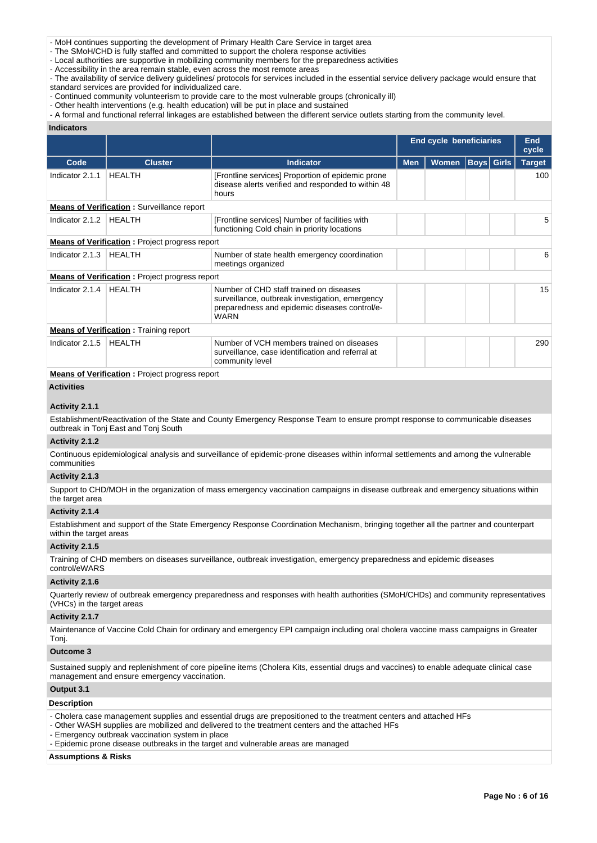- MoH continues supporting the development of Primary Health Care Service in target area

- The SMoH/CHD is fully staffed and committed to support the cholera response activities

- Local authorities are supportive in mobilizing community members for the preparedness activities

- Accessibility in the area remain stable, even across the most remote areas
- The availability of service delivery guidelines/ protocols for services included in the essential service delivery package would ensure that standard services are provided for individualized care.
- Continued community volunteerism to provide care to the most vulnerable groups (chronically ill)
- Other health interventions (e.g. health education) will be put in place and sustained
- A formal and functional referral linkages are established between the different service outlets starting from the community level.

#### **Indicators**

|                   |                                                                                                                     |                                                                                                                                                            | End cycle beneficiaries |       | <b>End</b><br>cycle |  |               |
|-------------------|---------------------------------------------------------------------------------------------------------------------|------------------------------------------------------------------------------------------------------------------------------------------------------------|-------------------------|-------|---------------------|--|---------------|
| Code              | <b>Cluster</b>                                                                                                      | <b>Indicator</b>                                                                                                                                           | <b>Men</b>              | Women | <b>Boys</b> Girls   |  | <b>Target</b> |
| Indicator 2.1.1   | <b>HEALTH</b>                                                                                                       | [Frontline services] Proportion of epidemic prone<br>disease alerts verified and responded to within 48<br>hours                                           |                         |       |                     |  | 100           |
|                   | <b>Means of Verification:</b> Surveillance report                                                                   |                                                                                                                                                            |                         |       |                     |  |               |
| Indicator 2.1.2   | <b>HEALTH</b>                                                                                                       | [Frontline services] Number of facilities with<br>functioning Cold chain in priority locations                                                             |                         |       |                     |  | 5             |
|                   | <b>Means of Verification:</b> Project progress report                                                               |                                                                                                                                                            |                         |       |                     |  |               |
| Indicator 2.1.3   | HEALTH                                                                                                              | Number of state health emergency coordination<br>meetings organized                                                                                        |                         |       |                     |  | 6             |
|                   | <b>Means of Verification:</b> Project progress report                                                               |                                                                                                                                                            |                         |       |                     |  |               |
| Indicator 2.1.4   | <b>HEALTH</b>                                                                                                       | Number of CHD staff trained on diseases<br>surveillance, outbreak investigation, emergency<br>preparedness and epidemic diseases control/e-<br><b>WARN</b> |                         |       |                     |  | 15            |
|                   | <b>Means of Verification:</b> Training report                                                                       |                                                                                                                                                            |                         |       |                     |  |               |
| Indicator 2.1.5   | <b>HEALTH</b>                                                                                                       | Number of VCH members trained on diseases<br>surveillance, case identification and referral at<br>community level                                          |                         |       |                     |  | 290           |
|                   | <b>Means of Verification:</b> Project progress report                                                               |                                                                                                                                                            |                         |       |                     |  |               |
| <b>Activities</b> |                                                                                                                     |                                                                                                                                                            |                         |       |                     |  |               |
| Activity 2.1.1    |                                                                                                                     |                                                                                                                                                            |                         |       |                     |  |               |
|                   | $\blacksquare$ . In the later of the contraction of the contract of $\blacksquare$ . In the contract $\blacksquare$ |                                                                                                                                                            |                         |       |                     |  |               |

Establishment/Reactivation of the State and County Emergency Response Team to ensure prompt response to communicable diseases outbreak in Tonj East and Tonj South

# **Activity 2.1.2**

Continuous epidemiological analysis and surveillance of epidemic-prone diseases within informal settlements and among the vulnerable communities

### **Activity 2.1.3**

Support to CHD/MOH in the organization of mass emergency vaccination campaigns in disease outbreak and emergency situations within the target area

# **Activity 2.1.4**

Establishment and support of the State Emergency Response Coordination Mechanism, bringing together all the partner and counterpart within the target areas

### **Activity 2.1.5**

Training of CHD members on diseases surveillance, outbreak investigation, emergency preparedness and epidemic diseases control/eWARS

#### **Activity 2.1.6**

Quarterly review of outbreak emergency preparedness and responses with health authorities (SMoH/CHDs) and community representatives (VHCs) in the target areas

### **Activity 2.1.7**

Maintenance of Vaccine Cold Chain for ordinary and emergency EPI campaign including oral cholera vaccine mass campaigns in Greater Tonj.

## **Outcome 3**

Sustained supply and replenishment of core pipeline items (Cholera Kits, essential drugs and vaccines) to enable adequate clinical case management and ensure emergency vaccination.

# **Output 3.1**

### **Description**

- Cholera case management supplies and essential drugs are prepositioned to the treatment centers and attached HFs
- Other WASH supplies are mobilized and delivered to the treatment centers and the attached HFs
- Emergency outbreak vaccination system in place
- Epidemic prone disease outbreaks in the target and vulnerable areas are managed

### **Assumptions & Risks**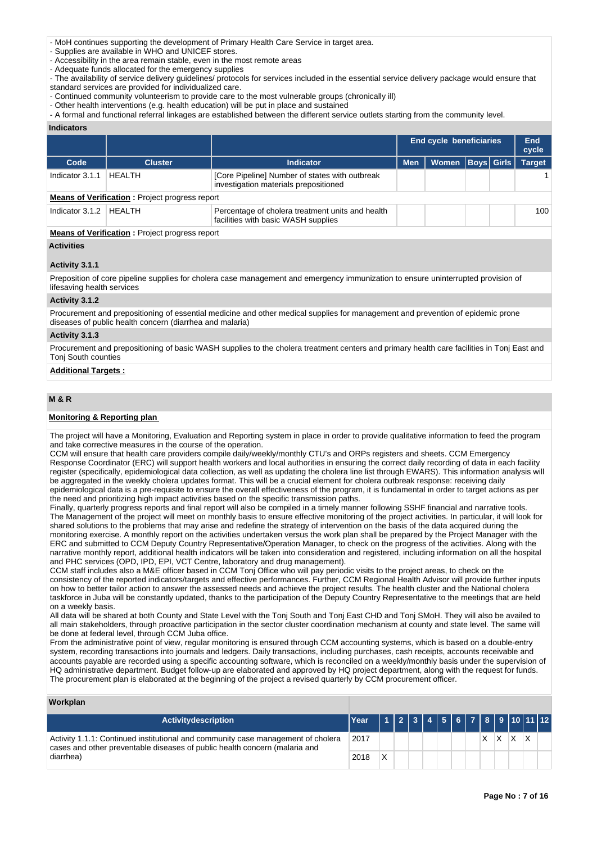- MoH continues supporting the development of Primary Health Care Service in target area.

- Supplies are available in WHO and UNICEF stores.
- Accessibility in the area remain stable, even in the most remote areas
- Adequate funds allocated for the emergency supplies
- The availability of service delivery guidelines/ protocols for services included in the essential service delivery package would ensure that standard services are provided for individualized care.
- Continued community volunteerism to provide care to the most vulnerable groups (chronically ill)
- Other health interventions (e.g. health education) will be put in place and sustained
- A formal and functional referral linkages are established between the different service outlets starting from the community level.

#### **Indicators**

|                                                                                                                      |                                                       |                                                                                         |            | <b>End cycle beneficiaries</b> |  |  | End<br>cycle  |
|----------------------------------------------------------------------------------------------------------------------|-------------------------------------------------------|-----------------------------------------------------------------------------------------|------------|--------------------------------|--|--|---------------|
| Code                                                                                                                 | <b>Cluster</b>                                        | <b>Indicator</b>                                                                        | <b>Men</b> | Women   Boys   Girls           |  |  | <b>Target</b> |
| Indicator 3.1.1                                                                                                      | HEALTH                                                | [Core Pipeline] Number of states with outbreak<br>investigation materials prepositioned |            |                                |  |  |               |
|                                                                                                                      | <b>Means of Verification:</b> Project progress report |                                                                                         |            |                                |  |  |               |
| Indicator 3.1.2<br>HEALTH<br>Percentage of cholera treatment units and health<br>facilities with basic WASH supplies |                                                       |                                                                                         |            |                                |  |  | 100           |
| <b>Means of Verification:</b> Project progress report                                                                |                                                       |                                                                                         |            |                                |  |  |               |

### **Activities**

#### **Activity 3.1.1**

Preposition of core pipeline supplies for cholera case management and emergency immunization to ensure uninterrupted provision of lifesaving health services

# **Activity 3.1.2**

Procurement and prepositioning of essential medicine and other medical supplies for management and prevention of epidemic prone diseases of public health concern (diarrhea and malaria)

### **Activity 3.1.3**

Procurement and prepositioning of basic WASH supplies to the cholera treatment centers and primary health care facilities in Tonj East and Tonj South counties

### **Additional Targets :**

# **M & R**

### **Monitoring & Reporting plan**

The project will have a Monitoring, Evaluation and Reporting system in place in order to provide qualitative information to feed the program and take corrective measures in the course of the operation.

CCM will ensure that health care providers compile daily/weekly/monthly CTU's and ORPs registers and sheets. CCM Emergency Response Coordinator (ERC) will support health workers and local authorities in ensuring the correct daily recording of data in each facility register (specifically, epidemiological data collection, as well as updating the cholera line list through EWARS). This information analysis will be aggregated in the weekly cholera updates format. This will be a crucial element for cholera outbreak response: receiving daily epidemiological data is a pre-requisite to ensure the overall effectiveness of the program, it is fundamental in order to target actions as per the need and prioritizing high impact activities based on the specific transmission paths.

Finally, quarterly progress reports and final report will also be compiled in a timely manner following SSHF financial and narrative tools. The Management of the project will meet on monthly basis to ensure effective monitoring of the project activities. In particular, it will look for shared solutions to the problems that may arise and redefine the strategy of intervention on the basis of the data acquired during the monitoring exercise. A monthly report on the activities undertaken versus the work plan shall be prepared by the Project Manager with the ERC and submitted to CCM Deputy Country Representative/Operation Manager, to check on the progress of the activities. Along with the narrative monthly report, additional health indicators will be taken into consideration and registered, including information on all the hospital and PHC services (OPD, IPD, EPI, VCT Centre, laboratory and drug management).

CCM staff includes also a M&E officer based in CCM Tonj Office who will pay periodic visits to the project areas, to check on the consistency of the reported indicators/targets and effective performances. Further, CCM Regional Health Advisor will provide further inputs on how to better tailor action to answer the assessed needs and achieve the project results. The health cluster and the National cholera taskforce in Juba will be constantly updated, thanks to the participation of the Deputy Country Representative to the meetings that are held on a weekly basis.

All data will be shared at both County and State Level with the Tonj South and Tonj East CHD and Tonj SMoH. They will also be availed to all main stakeholders, through proactive participation in the sector cluster coordination mechanism at county and state level. The same will be done at federal level, through CCM Juba office.

From the administrative point of view, regular monitoring is ensured through CCM accounting systems, which is based on a double-entry system, recording transactions into journals and ledgers. Daily transactions, including purchases, cash receipts, accounts receivable and accounts payable are recorded using a specific accounting software, which is reconciled on a weekly/monthly basis under the supervision of HQ administrative department. Budget follow-up are elaborated and approved by HQ project department, along with the request for funds. The procurement plan is elaborated at the beginning of the project a revised quarterly by CCM procurement officer.

### **Workplan**

| <b>Activitydescription</b>                                                                                                                                     | <b>Year</b> |             |  |  |  |    |    |   | 1 2 3 4 5 6 7 8 9 10 11 12 |  |
|----------------------------------------------------------------------------------------------------------------------------------------------------------------|-------------|-------------|--|--|--|----|----|---|----------------------------|--|
| Activity 1.1.1: Continued institutional and community case management of cholera<br>cases and other preventable diseases of public health concern (malaria and |             |             |  |  |  | X. | X. | x |                            |  |
| diarrhea)                                                                                                                                                      | 2018        | $\check{ }$ |  |  |  |    |    |   |                            |  |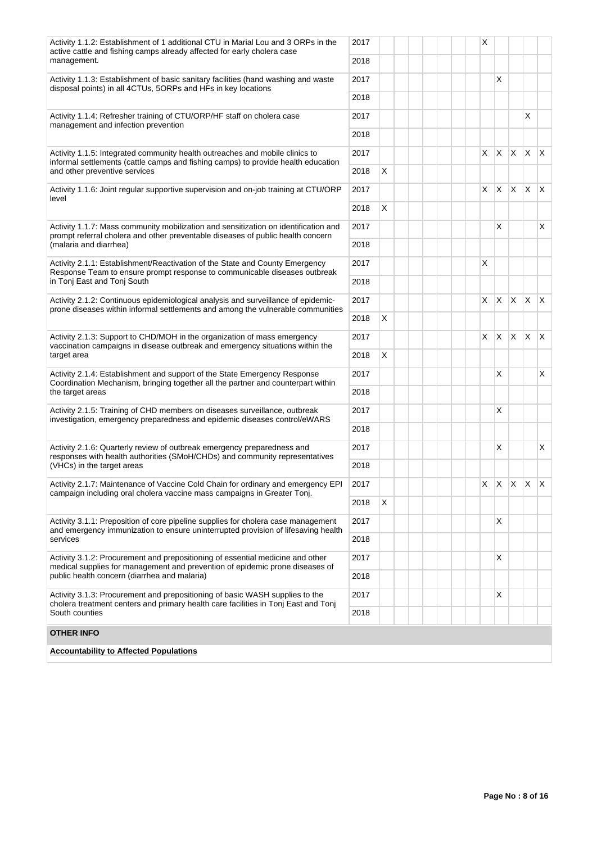| Activity 1.1.2: Establishment of 1 additional CTU in Marial Lou and 3 ORPs in the<br>active cattle and fishing camps already affected for early cholera case                                     |              |   |  | X        |            |              |                         |                         |
|--------------------------------------------------------------------------------------------------------------------------------------------------------------------------------------------------|--------------|---|--|----------|------------|--------------|-------------------------|-------------------------|
| management.                                                                                                                                                                                      | 2018         |   |  |          |            |              |                         |                         |
| Activity 1.1.3: Establishment of basic sanitary facilities (hand washing and waste<br>disposal points) in all 4CTUs, 5ORPs and HFs in key locations                                              | 2017         |   |  |          | X          |              |                         |                         |
|                                                                                                                                                                                                  | 2018         |   |  |          |            |              |                         |                         |
| Activity 1.1.4: Refresher training of CTU/ORP/HF staff on cholera case<br>management and infection prevention                                                                                    | 2017         |   |  |          |            |              | X                       |                         |
|                                                                                                                                                                                                  | 2018         |   |  |          |            |              |                         |                         |
| Activity 1.1.5: Integrated community health outreaches and mobile clinics to<br>informal settlements (cattle camps and fishing camps) to provide health education                                | 2017         |   |  | X.       | IX.        | $\mathsf{X}$ | $\mathsf{X} \mathsf{X}$ |                         |
| and other preventive services                                                                                                                                                                    | 2018         | X |  |          |            |              |                         |                         |
| Activity 1.1.6: Joint regular supportive supervision and on-job training at CTU/ORP<br>level                                                                                                     | 2017         |   |  | $\times$ | X.         | $\mathsf{X}$ | $\mathsf{X} \mathsf{X}$ |                         |
|                                                                                                                                                                                                  | 2018         | X |  |          |            |              |                         |                         |
| Activity 1.1.7: Mass community mobilization and sensitization on identification and<br>prompt referral cholera and other preventable diseases of public health concern<br>(malaria and diarrhea) | 2017<br>2018 |   |  |          | X          |              |                         | X                       |
|                                                                                                                                                                                                  |              |   |  |          |            |              |                         |                         |
| Activity 2.1.1: Establishment/Reactivation of the State and County Emergency<br>Response Team to ensure prompt response to communicable diseases outbreak                                        | 2017         |   |  | X        |            |              |                         |                         |
| in Tonj East and Tonj South                                                                                                                                                                      | 2018         |   |  |          |            |              |                         |                         |
| Activity 2.1.2: Continuous epidemiological analysis and surveillance of epidemic-<br>prone diseases within informal settlements and among the vulnerable communities                             | 2017         |   |  | X.       | X          | X            | X.                      | $\mathsf{X}$            |
|                                                                                                                                                                                                  | 2018         | X |  |          |            |              |                         |                         |
| Activity 2.1.3: Support to CHD/MOH in the organization of mass emergency<br>vaccination campaigns in disease outbreak and emergency situations within the                                        | 2017         |   |  | X.       | <b>X</b>   | <b>X</b>     | $\mathsf{X}$            | $\mathsf{I} \mathsf{X}$ |
| target area                                                                                                                                                                                      | 2018         | X |  |          |            |              |                         |                         |
| Activity 2.1.4: Establishment and support of the State Emergency Response<br>Coordination Mechanism, bringing together all the partner and counterpart within                                    | 2017         |   |  |          | X          |              |                         | X                       |
| the target areas                                                                                                                                                                                 | 2018         |   |  |          |            |              |                         |                         |
| Activity 2.1.5: Training of CHD members on diseases surveillance, outbreak<br>investigation, emergency preparedness and epidemic diseases control/eWARS                                          | 2017         |   |  |          | X          |              |                         |                         |
|                                                                                                                                                                                                  | 2018         |   |  |          |            |              |                         |                         |
| Activity 2.1.6: Quarterly review of outbreak emergency preparedness and<br>responses with health authorities (SMoH/CHDs) and community representatives                                           | 2017         |   |  |          | X          |              |                         | X                       |
| (VHCs) in the target areas                                                                                                                                                                       | 2018         |   |  |          |            |              |                         |                         |
| Activity 2.1.7: Maintenance of Vaccine Cold Chain for ordinary and emergency EPI<br>campaign including oral cholera vaccine mass campaigns in Greater Tonj.                                      | 2017         |   |  |          | $x \mid x$ | $\mathsf{X}$ | $\mathsf{X}$            |                         |
|                                                                                                                                                                                                  | 2018         | X |  |          |            |              |                         |                         |
| Activity 3.1.1: Preposition of core pipeline supplies for cholera case management<br>and emergency immunization to ensure uninterrupted provision of lifesaving health                           | 2017         |   |  |          | Х          |              |                         |                         |
| services                                                                                                                                                                                         | 2018         |   |  |          |            |              |                         |                         |
| Activity 3.1.2: Procurement and prepositioning of essential medicine and other<br>medical supplies for management and prevention of epidemic prone diseases of                                   | 2017         |   |  |          | X          |              |                         |                         |
| public health concern (diarrhea and malaria)                                                                                                                                                     | 2018         |   |  |          |            |              |                         |                         |
| Activity 3.1.3: Procurement and prepositioning of basic WASH supplies to the<br>cholera treatment centers and primary health care facilities in Tonj East and Tonj                               | 2017         |   |  |          | Х          |              |                         |                         |
| South counties                                                                                                                                                                                   | 2018         |   |  |          |            |              |                         |                         |
| <b>OTHER INFO</b>                                                                                                                                                                                |              |   |  |          |            |              |                         |                         |
| <b>Accountability to Affected Populations</b>                                                                                                                                                    |              |   |  |          |            |              |                         |                         |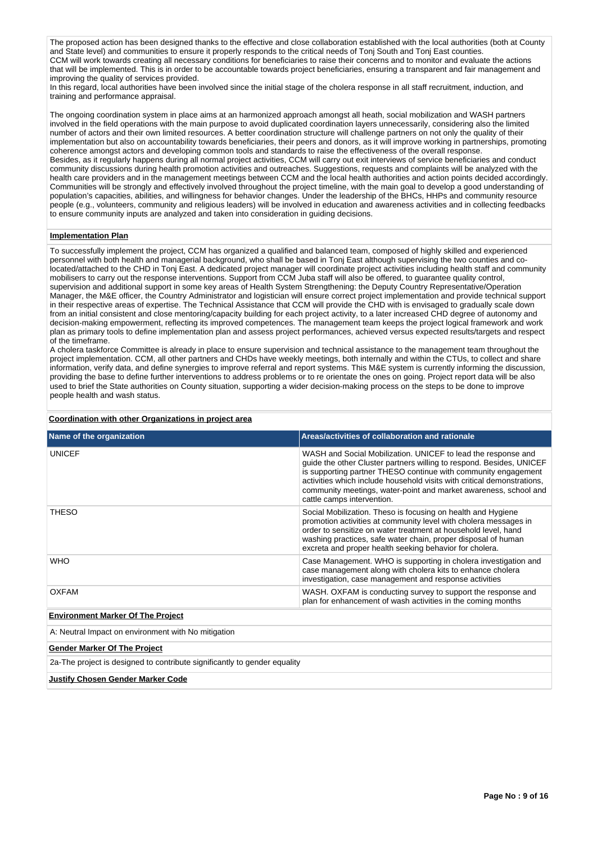The proposed action has been designed thanks to the effective and close collaboration established with the local authorities (both at County and State level) and communities to ensure it properly responds to the critical needs of Tonj South and Tonj East counties. CCM will work towards creating all necessary conditions for beneficiaries to raise their concerns and to monitor and evaluate the actions that will be implemented. This is in order to be accountable towards project beneficiaries, ensuring a transparent and fair management and improving the quality of services provided.

In this regard, local authorities have been involved since the initial stage of the cholera response in all staff recruitment, induction, and training and performance appraisal.

The ongoing coordination system in place aims at an harmonized approach amongst all heath, social mobilization and WASH partners involved in the field operations with the main purpose to avoid duplicated coordination layers unnecessarily, considering also the limited number of actors and their own limited resources. A better coordination structure will challenge partners on not only the quality of their implementation but also on accountability towards beneficiaries, their peers and donors, as it will improve working in partnerships, promoting coherence amongst actors and developing common tools and standards to raise the effectiveness of the overall response. Besides, as it regularly happens during all normal project activities, CCM will carry out exit interviews of service beneficiaries and conduct community discussions during health promotion activities and outreaches. Suggestions, requests and complaints will be analyzed with the health care providers and in the management meetings between CCM and the local health authorities and action points decided accordingly. Communities will be strongly and effectively involved throughout the project timeline, with the main goal to develop a good understanding of population's capacities, abilities, and willingness for behavior changes. Under the leadership of the BHCs, HHPs and community resource people (e.g., volunteers, community and religious leaders) will be involved in education and awareness activities and in collecting feedbacks to ensure community inputs are analyzed and taken into consideration in guiding decisions.

# **Implementation Plan**

To successfully implement the project, CCM has organized a qualified and balanced team, composed of highly skilled and experienced personnel with both health and managerial background, who shall be based in Tonj East although supervising the two counties and colocated/attached to the CHD in Tonj East. A dedicated project manager will coordinate project activities including health staff and community mobilisers to carry out the response interventions. Support from CCM Juba staff will also be offered, to guarantee quality control, supervision and additional support in some key areas of Health System Strengthening: the Deputy Country Representative/Operation Manager, the M&E officer, the Country Administrator and logistician will ensure correct project implementation and provide technical support in their respective areas of expertise. The Technical Assistance that CCM will provide the CHD with is envisaged to gradually scale down from an initial consistent and close mentoring/capacity building for each project activity, to a later increased CHD degree of autonomy and decision-making empowerment, reflecting its improved competences. The management team keeps the project logical framework and work plan as primary tools to define implementation plan and assess project performances, achieved versus expected results/targets and respect of the timeframe.

A cholera taskforce Committee is already in place to ensure supervision and technical assistance to the management team throughout the project implementation. CCM, all other partners and CHDs have weekly meetings, both internally and within the CTUs, to collect and share information, verify data, and define synergies to improve referral and report systems. This M&E system is currently informing the discussion, providing the base to define further interventions to address problems or to re orientate the ones on going. Project report data will be also used to brief the State authorities on County situation, supporting a wider decision-making process on the steps to be done to improve people health and wash status.

| Name of the organization                                                                                                                                                                                                                                                                                                                       | Areas/activities of collaboration and rationale                                                                                                                                                                                                                                                                                                                                      |  |  |  |  |  |
|------------------------------------------------------------------------------------------------------------------------------------------------------------------------------------------------------------------------------------------------------------------------------------------------------------------------------------------------|--------------------------------------------------------------------------------------------------------------------------------------------------------------------------------------------------------------------------------------------------------------------------------------------------------------------------------------------------------------------------------------|--|--|--|--|--|
| <b>UNICEF</b>                                                                                                                                                                                                                                                                                                                                  | WASH and Social Mobilization. UNICEF to lead the response and<br>guide the other Cluster partners willing to respond. Besides, UNICEF<br>is supporting partner THESO continue with community engagement<br>activities which include household visits with critical demonstrations.<br>community meetings, water-point and market awareness, school and<br>cattle camps intervention. |  |  |  |  |  |
| <b>THESO</b><br>Social Mobilization. Theso is focusing on health and Hygiene<br>promotion activities at community level with cholera messages in<br>order to sensitize on water treatment at household level, hand<br>washing practices, safe water chain, proper disposal of human<br>excreta and proper health seeking behavior for cholera. |                                                                                                                                                                                                                                                                                                                                                                                      |  |  |  |  |  |
| <b>WHO</b>                                                                                                                                                                                                                                                                                                                                     | Case Management. WHO is supporting in cholera investigation and<br>case management along with cholera kits to enhance cholera<br>investigation, case management and response activities                                                                                                                                                                                              |  |  |  |  |  |
| <b>OXFAM</b>                                                                                                                                                                                                                                                                                                                                   | WASH. OXFAM is conducting survey to support the response and<br>plan for enhancement of wash activities in the coming months                                                                                                                                                                                                                                                         |  |  |  |  |  |
| <b>Environment Marker Of The Project</b>                                                                                                                                                                                                                                                                                                       |                                                                                                                                                                                                                                                                                                                                                                                      |  |  |  |  |  |
| A: Neutral Impact on environment with No mitigation                                                                                                                                                                                                                                                                                            |                                                                                                                                                                                                                                                                                                                                                                                      |  |  |  |  |  |
| <b>Gender Marker Of The Project</b>                                                                                                                                                                                                                                                                                                            |                                                                                                                                                                                                                                                                                                                                                                                      |  |  |  |  |  |
| 2a-The project is designed to contribute significantly to gender equality                                                                                                                                                                                                                                                                      |                                                                                                                                                                                                                                                                                                                                                                                      |  |  |  |  |  |
| <b>Justify Chosen Gender Marker Code</b>                                                                                                                                                                                                                                                                                                       |                                                                                                                                                                                                                                                                                                                                                                                      |  |  |  |  |  |

### **Coordination with other Organizations in project area**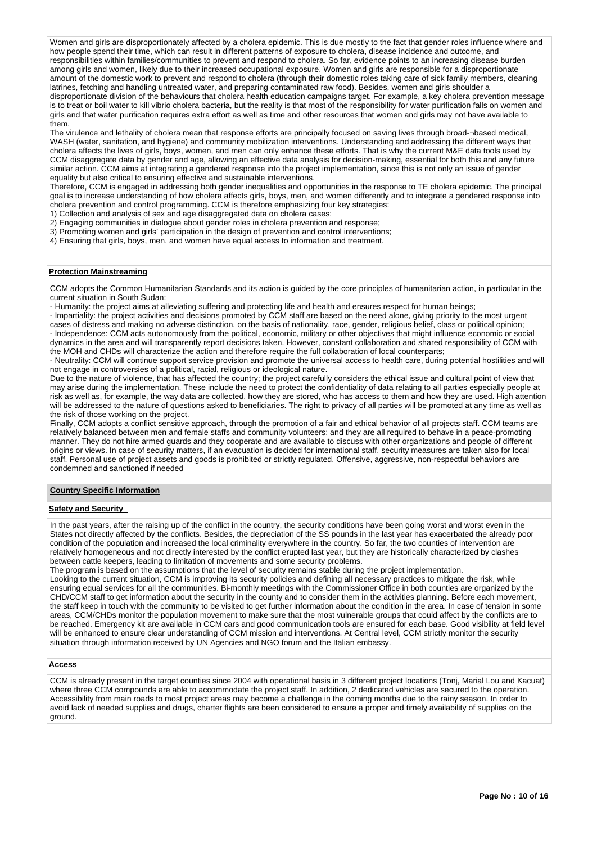Women and girls are disproportionately affected by a cholera epidemic. This is due mostly to the fact that gender roles influence where and how people spend their time, which can result in different patterns of exposure to cholera, disease incidence and outcome, and responsibilities within families/communities to prevent and respond to cholera. So far, evidence points to an increasing disease burden among girls and women, likely due to their increased occupational exposure. Women and girls are responsible for a disproportionate amount of the domestic work to prevent and respond to cholera (through their domestic roles taking care of sick family members, cleaning latrines, fetching and handling untreated water, and preparing contaminated raw food). Besides, women and girls shoulder a disproportionate division of the behaviours that cholera health education campaigns target. For example, a key cholera prevention message is to treat or boil water to kill vibrio cholera bacteria, but the reality is that most of the responsibility for water purification falls on women and girls and that water purification requires extra effort as well as time and other resources that women and girls may not have available to them.

The virulence and lethality of cholera mean that response efforts are principally focused on saving lives through broad-¬based medical, WASH (water, sanitation, and hygiene) and community mobilization interventions. Understanding and addressing the different ways that cholera affects the lives of girls, boys, women, and men can only enhance these efforts. That is why the current M&E data tools used by CCM disaggregate data by gender and age, allowing an effective data analysis for decision-making, essential for both this and any future similar action. CCM aims at integrating a gendered response into the project implementation, since this is not only an issue of gender equality but also critical to ensuring effective and sustainable interventions.

Therefore, CCM is engaged in addressing both gender inequalities and opportunities in the response to TE cholera epidemic. The principal goal is to increase understanding of how cholera affects girls, boys, men, and women differently and to integrate a gendered response into cholera prevention and control programming. CCM is therefore emphasizing four key strategies:

1) Collection and analysis of sex and age disaggregated data on cholera cases;

- 2) Engaging communities in dialogue about gender roles in cholera prevention and response;
- 3) Promoting women and girls' participation in the design of prevention and control interventions;
- 4) Ensuring that girls, boys, men, and women have equal access to information and treatment.

### **Protection Mainstreaming**

CCM adopts the Common Humanitarian Standards and its action is guided by the core principles of humanitarian action, in particular in the current situation in South Sudan:

- Humanity: the project aims at alleviating suffering and protecting life and health and ensures respect for human beings;

- Impartiality: the project activities and decisions promoted by CCM staff are based on the need alone, giving priority to the most urgent cases of distress and making no adverse distinction, on the basis of nationality, race, gender, religious belief, class or political opinion;

- Independence: CCM acts autonomously from the political, economic, military or other objectives that might influence economic or social dynamics in the area and will transparently report decisions taken. However, constant collaboration and shared responsibility of CCM with the MOH and CHDs will characterize the action and therefore require the full collaboration of local counterparts;

- Neutrality: CCM will continue support service provision and promote the universal access to health care, during potential hostilities and will not engage in controversies of a political, racial, religious or ideological nature.

Due to the nature of violence, that has affected the country; the project carefully considers the ethical issue and cultural point of view that may arise during the implementation. These include the need to protect the confidentiality of data relating to all parties especially people at risk as well as, for example, the way data are collected, how they are stored, who has access to them and how they are used. High attention will be addressed to the nature of questions asked to beneficiaries. The right to privacy of all parties will be promoted at any time as well as the risk of those working on the project.

Finally, CCM adopts a conflict sensitive approach, through the promotion of a fair and ethical behavior of all projects staff. CCM teams are relatively balanced between men and female staffs and community volunteers; and they are all required to behave in a peace-promoting manner. They do not hire armed guards and they cooperate and are available to discuss with other organizations and people of different origins or views. In case of security matters, if an evacuation is decided for international staff, security measures are taken also for local staff. Personal use of project assets and goods is prohibited or strictly regulated. Offensive, aggressive, non-respectful behaviors are condemned and sanctioned if needed

### **Country Specific Information**

## **Safety and Security**

In the past years, after the raising up of the conflict in the country, the security conditions have been going worst and worst even in the States not directly affected by the conflicts. Besides, the depreciation of the SS pounds in the last year has exacerbated the already poor condition of the population and increased the local criminality everywhere in the country. So far, the two counties of intervention are relatively homogeneous and not directly interested by the conflict erupted last year, but they are historically characterized by clashes between cattle keepers, leading to limitation of movements and some security problems.

The program is based on the assumptions that the level of security remains stable during the project implementation.

Looking to the current situation, CCM is improving its security policies and defining all necessary practices to mitigate the risk, while ensuring equal services for all the communities. Bi-monthly meetings with the Commissioner Office in both counties are organized by the CHD/CCM staff to get information about the security in the county and to consider them in the activities planning. Before each movement, the staff keep in touch with the community to be visited to get further information about the condition in the area. In case of tension in some areas, CCM/CHDs monitor the population movement to make sure that the most vulnerable groups that could affect by the conflicts are to be reached. Emergency kit are available in CCM cars and good communication tools are ensured for each base. Good visibility at field level will be enhanced to ensure clear understanding of CCM mission and interventions. At Central level, CCM strictly monitor the security situation through information received by UN Agencies and NGO forum and the Italian embassy.

#### **Access**

CCM is already present in the target counties since 2004 with operational basis in 3 different project locations (Tonj, Marial Lou and Kacuat) where three CCM compounds are able to accommodate the project staff. In addition, 2 dedicated vehicles are secured to the operation. Accessibility from main roads to most project areas may become a challenge in the coming months due to the rainy season. In order to avoid lack of needed supplies and drugs, charter flights are been considered to ensure a proper and timely availability of supplies on the ground.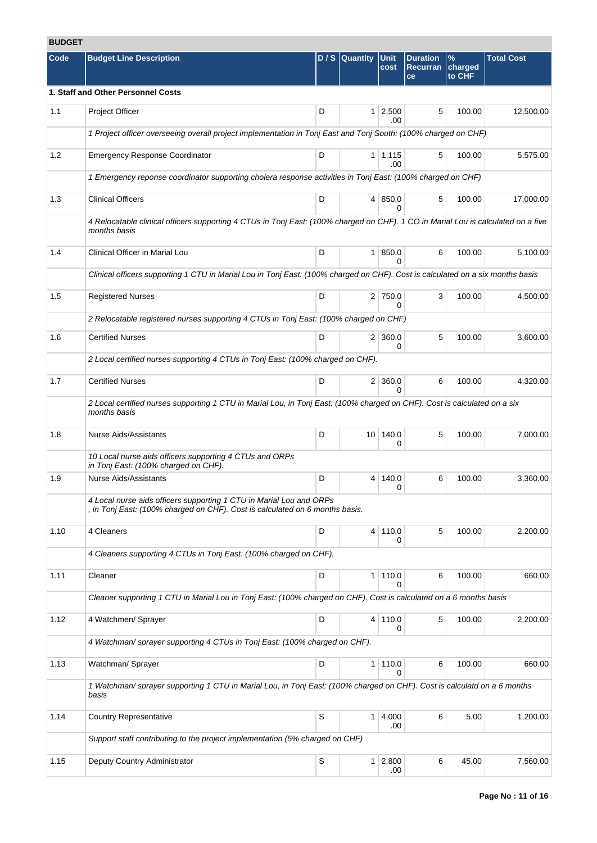# **BUDGET**

| Code | <b>Budget Line Description</b>                                                                                                                      |   | D/S Quantity | <b>Unit</b><br>cost            | <b>Duration</b><br><b>Recurran</b> | $\frac{9}{6}$<br>charged | <b>Total Cost</b> |
|------|-----------------------------------------------------------------------------------------------------------------------------------------------------|---|--------------|--------------------------------|------------------------------------|--------------------------|-------------------|
|      |                                                                                                                                                     |   |              |                                | ce                                 | to CHF                   |                   |
|      | 1. Staff and Other Personnel Costs                                                                                                                  |   |              |                                |                                    |                          |                   |
| 1.1  | Project Officer                                                                                                                                     | D |              | $1 \mid 2,500$<br>.00          | 5                                  | 100.00                   | 12,500.00         |
|      | 1 Project officer overseeing overall project implementation in Tonj East and Tonj South: (100% charged on CHF)                                      |   |              |                                |                                    |                          |                   |
| 1.2  | <b>Emergency Response Coordinator</b>                                                                                                               | D |              | $1 \mid 1,115$<br>.00.         | 5                                  | 100.00                   | 5,575.00          |
|      | 1 Emergency reponse coordinator supporting cholera response activities in Tonj East: (100% charged on CHF)                                          |   |              |                                |                                    |                          |                   |
| 1.3  | <b>Clinical Officers</b>                                                                                                                            | D |              | 4   850.0<br>0                 | 5                                  | 100.00                   | 17,000.00         |
|      | 4 Relocatable clinical officers supporting 4 CTUs in Tonj East: (100% charged on CHF). 1 CO in Marial Lou is calculated on a five<br>months basis   |   |              |                                |                                    |                          |                   |
| 1.4  | Clinical Officer in Marial Lou                                                                                                                      | D |              | 1 850.0<br>$\Omega$            | 6                                  | 100.00                   | 5,100.00          |
|      | Clinical officers supporting 1 CTU in Marial Lou in Tonj East: (100% charged on CHF). Cost is calculated on a six months basis                      |   |              |                                |                                    |                          |                   |
| 1.5  | <b>Registered Nurses</b>                                                                                                                            | D |              | 2 750.0<br>0                   | 3                                  | 100.00                   | 4,500.00          |
|      | 2 Relocatable registered nurses supporting 4 CTUs in Tonj East: (100% charged on CHF)                                                               |   |              |                                |                                    |                          |                   |
| 1.6  | <b>Certified Nurses</b>                                                                                                                             | D |              | $2 \mid 360.0$<br>0            | 5                                  | 100.00                   | 3,600.00          |
|      | 2 Local certified nurses supporting 4 CTUs in Tonj East: (100% charged on CHF).                                                                     |   |              |                                |                                    |                          |                   |
| 1.7  | <b>Certified Nurses</b>                                                                                                                             | D |              | $2 \mid 360.0$<br><sup>0</sup> | 6                                  | 100.00                   | 4,320.00          |
|      | 2 Local certified nurses supporting 1 CTU in Marial Lou, in Tonj East: (100% charged on CHF). Cost is calculated on a six<br>months basis           |   |              |                                |                                    |                          |                   |
| 1.8  | <b>Nurse Aids/Assistants</b>                                                                                                                        | D |              | 10 140.0<br>0                  | 5                                  | 100.00                   | 7,000.00          |
|      | 10 Local nurse aids officers supporting 4 CTUs and ORPs<br>in Tonj East: (100% charged on CHF).                                                     |   |              |                                |                                    |                          |                   |
| 1.9  | <b>Nurse Aids/Assistants</b>                                                                                                                        | D |              | 4 140.0<br>0                   | 6                                  | 100.00                   | 3,360.00          |
|      | 4 Local nurse aids officers supporting 1 CTU in Marial Lou and ORPs<br>, in Tonj East: (100% charged on CHF). Cost is calculated on 6 months basis. |   |              |                                |                                    |                          |                   |
| 1.10 | 4 Cleaners                                                                                                                                          | D |              | 4 110.0<br>0                   | 5                                  | 100.00                   | 2,200.00          |
|      | 4 Cleaners supporting 4 CTUs in Tonj East: (100% charged on CHF).                                                                                   |   |              |                                |                                    |                          |                   |
| 1.11 | Cleaner                                                                                                                                             | D |              | 1 110.0<br>0                   | 6                                  | 100.00                   | 660.00            |
|      | Cleaner supporting 1 CTU in Marial Lou in Tonj East: (100% charged on CHF). Cost is calculated on a 6 months basis                                  |   |              |                                |                                    |                          |                   |
| 1.12 | 4 Watchmen/ Sprayer                                                                                                                                 | D |              | 4 110.0<br>0                   | 5                                  | 100.00                   | 2,200.00          |
|      | 4 Watchman/ sprayer supporting 4 CTUs in Tonj East: (100% charged on CHF).                                                                          |   |              |                                |                                    |                          |                   |
| 1.13 | Watchman/ Sprayer                                                                                                                                   | D |              | 1   110.0<br><sup>0</sup>      | 6                                  | 100.00                   | 660.00            |
|      | 1 Watchman/ sprayer supporting 1 CTU in Marial Lou, in Tonj East: (100% charged on CHF). Cost is calculatd on a 6 months<br>basis                   |   |              |                                |                                    |                          |                   |
| 1.14 | <b>Country Representative</b>                                                                                                                       | S |              | 1   4,000<br>.00               | 6                                  | 5.00                     | 1,200.00          |
|      | Support staff contributing to the project implementation (5% charged on CHF)                                                                        |   |              |                                |                                    |                          |                   |
| 1.15 | Deputy Country Administrator                                                                                                                        | S |              | $1 \quad 2,800$<br>.00         | 6                                  | 45.00                    | 7,560.00          |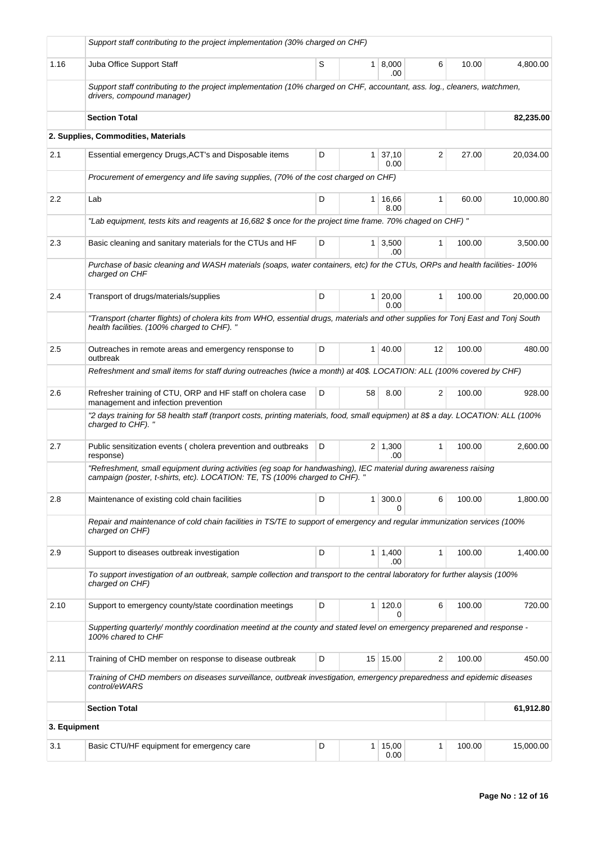|              | Support staff contributing to the project implementation (30% charged on CHF)                                                                                                                   |   |                 |                       |                   |        |           |
|--------------|-------------------------------------------------------------------------------------------------------------------------------------------------------------------------------------------------|---|-----------------|-----------------------|-------------------|--------|-----------|
| 1.16         | Juba Office Support Staff                                                                                                                                                                       | S | $\mathbf{1}$    | 8,000<br>.00          | 6                 | 10.00  | 4,800.00  |
|              | Support staff contributing to the project implementation (10% charged on CHF, accountant, ass. log., cleaners, watchmen,<br>drivers, compound manager)                                          |   |                 |                       |                   |        |           |
|              | <b>Section Total</b>                                                                                                                                                                            |   |                 |                       |                   |        | 82,235.00 |
|              | 2. Supplies, Commodities, Materials                                                                                                                                                             |   |                 |                       |                   |        |           |
| 2.1          | Essential emergency Drugs, ACT's and Disposable items                                                                                                                                           | D | 1               | 37,10<br>0.00         | 2                 | 27.00  | 20,034.00 |
|              | Procurement of emergency and life saving supplies, (70% of the cost charged on CHF)                                                                                                             |   |                 |                       |                   |        |           |
| 2.2          | Lab                                                                                                                                                                                             | D | 1               | 16,66<br>8.00         | $\mathbf{1}$      | 60.00  | 10,000.80 |
|              | "Lab equipment, tests kits and reagents at 16,682 \$ once for the project time frame. 70% chaged on CHF)"                                                                                       |   |                 |                       |                   |        |           |
| 2.3          | Basic cleaning and sanitary materials for the CTUs and HF                                                                                                                                       | D | $\mathbf{1}$    | 3,500<br>.00          | $\mathbf{1}$      | 100.00 | 3.500.00  |
|              | Purchase of basic cleaning and WASH materials (soaps, water containers, etc) for the CTUs, ORPs and health facilities-100%<br>charged on CHF                                                    |   |                 |                       |                   |        |           |
| 2.4          | Transport of drugs/materials/supplies                                                                                                                                                           | D | $\mathbf{1}$    | 20,00<br>0.00         | 1                 | 100.00 | 20,000.00 |
|              | "Transport (charter flights) of cholera kits from WHO, essential drugs, materials and other supplies for Tonj East and Tonj South<br>health facilities. (100% charged to CHF). "                |   |                 |                       |                   |        |           |
| 2.5          | Outreaches in remote areas and emergency rensponse to<br>outbreak                                                                                                                               | D | 1               | 40.00                 | $12 \overline{ }$ | 100.00 | 480.00    |
|              | Refreshment and small items for staff during outreaches (twice a month) at 40\$. LOCATION: ALL (100% covered by CHF)                                                                            |   |                 |                       |                   |        |           |
| 2.6          | Refresher training of CTU, ORP and HF staff on cholera case<br>management and infection prevention                                                                                              | D | 58              | 8.00                  | $\overline{2}$    | 100.00 | 928.00    |
|              | "2 days training for 58 health staff (tranport costs, printing materials, food, small equipmen) at 8\$ a day. LOCATION: ALL (100%<br>charged to CHF). "                                         |   |                 |                       |                   |        |           |
| 2.7          | Public sensitization events (cholera prevention and outbreaks<br>response)                                                                                                                      | D |                 | $2 \mid 1,300$<br>.00 | 1                 | 100.00 | 2,600.00  |
|              | "Refreshment, small equipment during activities (eg soap for handwashing), IEC material during awareness raising<br>campaign (poster, t-shirts, etc). LOCATION: TE, TS (100% charged to CHF). " |   |                 |                       |                   |        |           |
| 2.8          | Maintenance of existing cold chain facilities                                                                                                                                                   | D | 1               | 300.0<br><sup>0</sup> | 6                 | 100.00 | 1,800.00  |
|              | Repair and maintenance of cold chain facilities in TS/TE to support of emergency and regular immunization services (100%<br>charged on CHF)                                                     |   |                 |                       |                   |        |           |
| 2.9          | Support to diseases outbreak investigation                                                                                                                                                      | D | 1               | 1,400<br>.00          | $\mathbf{1}$      | 100.00 | 1.400.00  |
|              | To support investigation of an outbreak, sample collection and transport to the central laboratory for further alaysis (100%<br>charged on CHF)                                                 |   |                 |                       |                   |        |           |
| 2.10         | Support to emergency county/state coordination meetings                                                                                                                                         | D | 1               | 120.0                 | 6                 | 100.00 | 720.00    |
|              | Supperting quarterly/monthly coordination meetind at the county and stated level on emergency preparened and response -<br>100% chared to CHF                                                   |   |                 |                       |                   |        |           |
| 2.11         | Training of CHD member on response to disease outbreak                                                                                                                                          | D | 15 <sup>1</sup> | 15.00                 | 2                 | 100.00 | 450.00    |
|              | Training of CHD members on diseases surveillance, outbreak investigation, emergency preparedness and epidemic diseases<br>control/eWARS                                                         |   |                 |                       |                   |        |           |
|              | <b>Section Total</b>                                                                                                                                                                            |   |                 |                       |                   |        | 61,912.80 |
| 3. Equipment |                                                                                                                                                                                                 |   |                 |                       |                   |        |           |
| 3.1          | Basic CTU/HF equipment for emergency care                                                                                                                                                       | D | 1               | 15,00<br>0.00         | 1                 | 100.00 | 15,000.00 |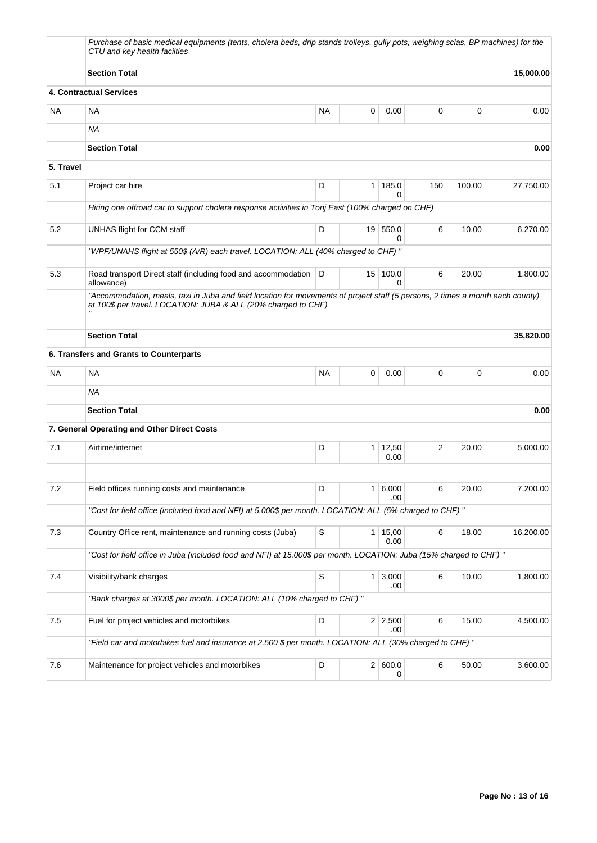|           | Purchase of basic medical equipments (tents, cholera beds, drip stands trolleys, qully pots, weighing sclas, BP machines) for the<br>CTU and key health faciities                                |           |                 |                        |     |        |           |
|-----------|--------------------------------------------------------------------------------------------------------------------------------------------------------------------------------------------------|-----------|-----------------|------------------------|-----|--------|-----------|
|           | <b>Section Total</b>                                                                                                                                                                             |           |                 |                        |     |        | 15,000.00 |
|           | 4. Contractual Services                                                                                                                                                                          |           |                 |                        |     |        |           |
| <b>NA</b> | NA                                                                                                                                                                                               | <b>NA</b> | 0               | 0.00                   | 0   | 0      | 0.00      |
|           | <b>NA</b>                                                                                                                                                                                        |           |                 |                        |     |        |           |
|           | <b>Section Total</b>                                                                                                                                                                             |           |                 |                        |     |        | 0.00      |
| 5. Travel |                                                                                                                                                                                                  |           |                 |                        |     |        |           |
| 5.1       | Project car hire                                                                                                                                                                                 | D         | 1 <sup>1</sup>  | 185.0<br>0             | 150 | 100.00 | 27,750.00 |
|           | Hiring one offroad car to support cholera response activities in Tonj East (100% charged on CHF)                                                                                                 |           |                 |                        |     |        |           |
| 5.2       | UNHAS flight for CCM staff                                                                                                                                                                       | D         | 19 <sup>1</sup> | 550.0<br>0             | 6   | 10.00  | 6,270.00  |
|           | "WPF/UNAHS flight at 550\$ (A/R) each travel. LOCATION: ALL (40% charged to CHF) "                                                                                                               |           |                 |                        |     |        |           |
| 5.3       | Road transport Direct staff (including food and accommodation<br>allowance)                                                                                                                      | D         | 15 <sup>1</sup> | 100.0<br>$\Omega$      | 6   | 20.00  | 1,800.00  |
|           | "Accommodation, meals, taxi in Juba and field location for movements of project staff (5 persons, 2 times a month each county)<br>at 100\$ per travel. LOCATION: JUBA & ALL (20% charged to CHF) |           |                 |                        |     |        |           |
|           | <b>Section Total</b>                                                                                                                                                                             |           |                 |                        |     |        | 35,820.00 |
|           | 6. Transfers and Grants to Counterparts                                                                                                                                                          |           |                 |                        |     |        |           |
| <b>NA</b> | NA                                                                                                                                                                                               | <b>NA</b> | 0               | 0.00                   | 0   | 0      | 0.00      |
|           | ΝA                                                                                                                                                                                               |           |                 |                        |     |        |           |
|           | <b>Section Total</b>                                                                                                                                                                             |           |                 |                        |     |        | 0.00      |
|           | 7. General Operating and Other Direct Costs                                                                                                                                                      |           |                 |                        |     |        |           |
| 7.1       | Airtime/internet                                                                                                                                                                                 | D         | 1               | 12,50<br>0.00          | 2   | 20.00  | 5,000.00  |
|           |                                                                                                                                                                                                  |           |                 |                        |     |        |           |
| $7.2\,$   | Field offices running costs and maintenance                                                                                                                                                      | D         |                 | 1 6,000<br>.00         | 6   | 20.00  | 7,200.00  |
|           | "Cost for field office (included food and NFI) at 5.000\$ per month. LOCATION: ALL (5% charged to CHF) "                                                                                         |           |                 |                        |     |        |           |
| 7.3       | Country Office rent, maintenance and running costs (Juba)                                                                                                                                        | S         |                 | $1 \mid 15,00$<br>0.00 | 6   | 18.00  | 16,200.00 |
|           | "Cost for field office in Juba (included food and NFI) at 15.000\$ per month. LOCATION: Juba (15% charged to CHF) "                                                                              |           |                 |                        |     |        |           |
| 7.4       | Visibility/bank charges                                                                                                                                                                          | S         |                 | 1 3,000<br>.00         | 6   | 10.00  | 1,800.00  |
|           | "Bank charges at 3000\$ per month. LOCATION: ALL (10% charged to CHF) "                                                                                                                          |           |                 |                        |     |        |           |
| 7.5       | Fuel for project vehicles and motorbikes                                                                                                                                                         | D         |                 | $2 \mid 2,500$<br>.00  | 6   | 15.00  | 4,500.00  |
|           | "Field car and motorbikes fuel and insurance at 2.500 \$ per month. LOCATION: ALL (30% charged to CHF)"                                                                                          |           |                 |                        |     |        |           |
| 7.6       | Maintenance for project vehicles and motorbikes                                                                                                                                                  | D         |                 | 2 600.0<br>0           | 6   | 50.00  | 3,600.00  |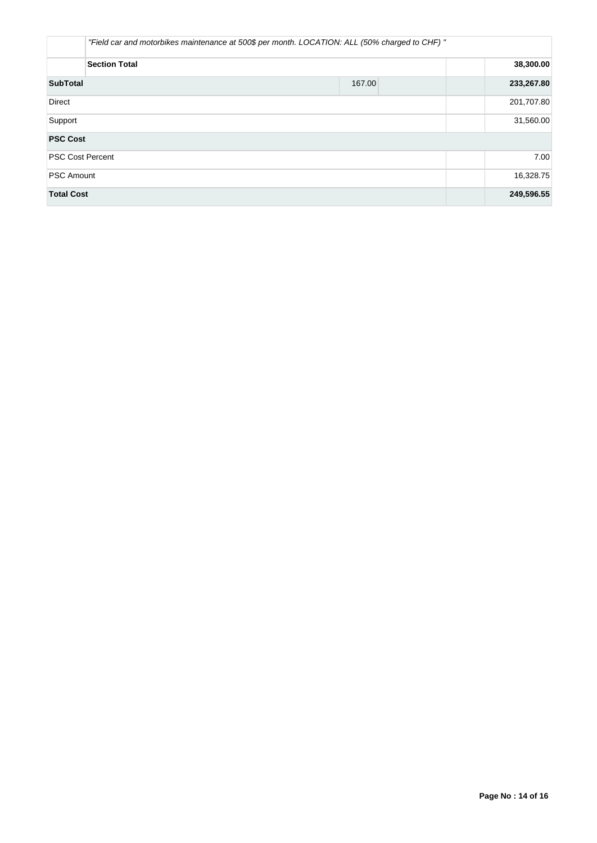|                         | "Field car and motorbikes maintenance at 500\$ per month. LOCATION: ALL (50% charged to CHF) " |            |           |  |            |  |  |
|-------------------------|------------------------------------------------------------------------------------------------|------------|-----------|--|------------|--|--|
|                         | <b>Section Total</b>                                                                           |            | 38,300.00 |  |            |  |  |
| <b>SubTotal</b>         |                                                                                                | 233,267.80 |           |  |            |  |  |
| <b>Direct</b>           |                                                                                                |            |           |  | 201,707.80 |  |  |
| Support                 |                                                                                                | 31,560.00  |           |  |            |  |  |
| <b>PSC Cost</b>         |                                                                                                |            |           |  |            |  |  |
| <b>PSC Cost Percent</b> |                                                                                                |            |           |  | 7.00       |  |  |
| <b>PSC Amount</b>       |                                                                                                |            |           |  | 16,328.75  |  |  |
| <b>Total Cost</b>       |                                                                                                |            |           |  | 249,596.55 |  |  |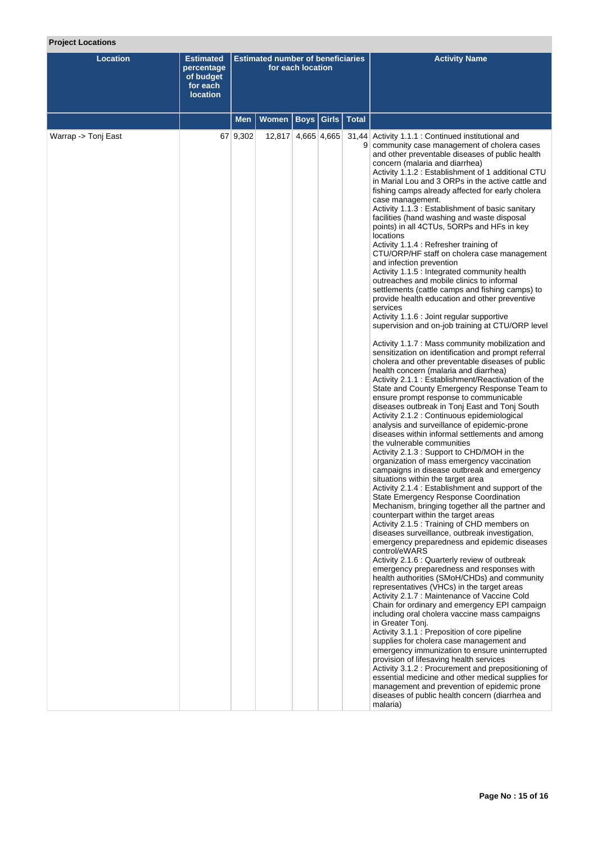# **Project Locations**

| <b>Location</b>     | <b>Estimated</b><br>percentage<br>of budget<br>for each<br><b>location</b> | <b>Estimated number of beneficiaries</b><br>for each location |                              |  |  | <b>Activity Name</b>                                                                                                                                                                                                                                                                                                                                                                                                                                                                                                                                                                                                                                                                                                                                                                                                                                                                                                                                                                                                                                                                                                                                                                                                                                                                                                                                                                                                                                                                                                                                                                                                                                                                                                                                                                                                                                                                                                                                                                                                                                                                                                                                                                                                                                                                                                                                                                                                                                                                                                                                                                                                                                                                                                                                                                                                                                                                           |
|---------------------|----------------------------------------------------------------------------|---------------------------------------------------------------|------------------------------|--|--|------------------------------------------------------------------------------------------------------------------------------------------------------------------------------------------------------------------------------------------------------------------------------------------------------------------------------------------------------------------------------------------------------------------------------------------------------------------------------------------------------------------------------------------------------------------------------------------------------------------------------------------------------------------------------------------------------------------------------------------------------------------------------------------------------------------------------------------------------------------------------------------------------------------------------------------------------------------------------------------------------------------------------------------------------------------------------------------------------------------------------------------------------------------------------------------------------------------------------------------------------------------------------------------------------------------------------------------------------------------------------------------------------------------------------------------------------------------------------------------------------------------------------------------------------------------------------------------------------------------------------------------------------------------------------------------------------------------------------------------------------------------------------------------------------------------------------------------------------------------------------------------------------------------------------------------------------------------------------------------------------------------------------------------------------------------------------------------------------------------------------------------------------------------------------------------------------------------------------------------------------------------------------------------------------------------------------------------------------------------------------------------------------------------------------------------------------------------------------------------------------------------------------------------------------------------------------------------------------------------------------------------------------------------------------------------------------------------------------------------------------------------------------------------------------------------------------------------------------------------------------------------------|
|                     |                                                                            | <b>Men</b>                                                    | Women   Boys   Girls   Total |  |  |                                                                                                                                                                                                                                                                                                                                                                                                                                                                                                                                                                                                                                                                                                                                                                                                                                                                                                                                                                                                                                                                                                                                                                                                                                                                                                                                                                                                                                                                                                                                                                                                                                                                                                                                                                                                                                                                                                                                                                                                                                                                                                                                                                                                                                                                                                                                                                                                                                                                                                                                                                                                                                                                                                                                                                                                                                                                                                |
| Warrap -> Tonj East |                                                                            | 67 9,302                                                      | 12,817 4,665 4,665           |  |  | 31,44 Activity 1.1.1 : Continued institutional and<br>9 community case management of cholera cases<br>and other preventable diseases of public health<br>concern (malaria and diarrhea)<br>Activity 1.1.2: Establishment of 1 additional CTU<br>in Marial Lou and 3 ORPs in the active cattle and<br>fishing camps already affected for early cholera<br>case management.<br>Activity 1.1.3: Establishment of basic sanitary<br>facilities (hand washing and waste disposal<br>points) in all 4CTUs, 5ORPs and HFs in key<br>locations<br>Activity 1.1.4 : Refresher training of<br>CTU/ORP/HF staff on cholera case management<br>and infection prevention<br>Activity 1.1.5 : Integrated community health<br>outreaches and mobile clinics to informal<br>settlements (cattle camps and fishing camps) to<br>provide health education and other preventive<br>services<br>Activity 1.1.6 : Joint regular supportive<br>supervision and on-job training at CTU/ORP level<br>Activity 1.1.7 : Mass community mobilization and<br>sensitization on identification and prompt referral<br>cholera and other preventable diseases of public<br>health concern (malaria and diarrhea)<br>Activity 2.1.1: Establishment/Reactivation of the<br>State and County Emergency Response Team to<br>ensure prompt response to communicable<br>diseases outbreak in Tonj East and Tonj South<br>Activity 2.1.2 : Continuous epidemiological<br>analysis and surveillance of epidemic-prone<br>diseases within informal settlements and among<br>the vulnerable communities<br>Activity 2.1.3 : Support to CHD/MOH in the<br>organization of mass emergency vaccination<br>campaigns in disease outbreak and emergency<br>situations within the target area<br>Activity 2.1.4 : Establishment and support of the<br>State Emergency Response Coordination<br>Mechanism, bringing together all the partner and<br>counterpart within the target areas<br>Activity 2.1.5 : Training of CHD members on<br>diseases surveillance, outbreak investigation,<br>emergency preparedness and epidemic diseases<br>control/eWARS<br>Activity 2.1.6 : Quarterly review of outbreak<br>emergency preparedness and responses with<br>health authorities (SMoH/CHDs) and community<br>representatives (VHCs) in the target areas<br>Activity 2.1.7 : Maintenance of Vaccine Cold<br>Chain for ordinary and emergency EPI campaign<br>including oral cholera vaccine mass campaigns<br>in Greater Tonj.<br>Activity 3.1.1 : Preposition of core pipeline<br>supplies for cholera case management and<br>emergency immunization to ensure uninterrupted<br>provision of lifesaving health services<br>Activity 3.1.2 : Procurement and prepositioning of<br>essential medicine and other medical supplies for<br>management and prevention of epidemic prone<br>diseases of public health concern (diarrhea and<br>malaria) |